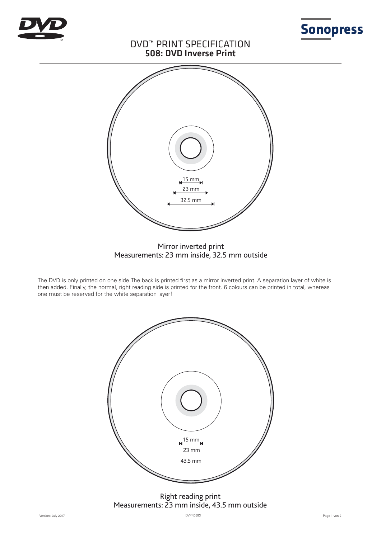



# DVD™ PRINT SPECIFICATION 508: DVD Inverse Print



### Mirror inverted print Measurements: 23 mm inside, 32.5 mm outside

The DVD is only printed on one side.The back is printed first as a mirror inverted print. A separation layer of white is then added. Finally, the normal, right reading side is printed for the front. 6 colours can be printed in total, whereas one must be reserved for the white separation layer!



## Right reading print Measurements: 23 mm inside, 43.5 mm outside